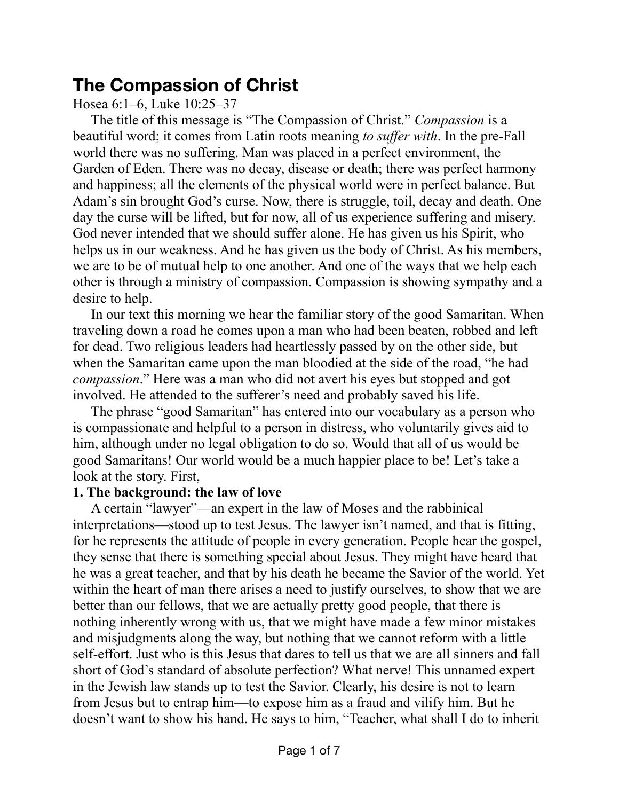## **The Compassion of Christ**

Hosea 6:1–6, Luke 10:25–37

The title of this message is "The Compassion of Christ." *Compassion* is a beautiful word; it comes from Latin roots meaning *to suffer with*. In the pre-Fall world there was no suffering. Man was placed in a perfect environment, the Garden of Eden. There was no decay, disease or death; there was perfect harmony and happiness; all the elements of the physical world were in perfect balance. But Adam's sin brought God's curse. Now, there is struggle, toil, decay and death. One day the curse will be lifted, but for now, all of us experience suffering and misery. God never intended that we should suffer alone. He has given us his Spirit, who helps us in our weakness. And he has given us the body of Christ. As his members, we are to be of mutual help to one another. And one of the ways that we help each other is through a ministry of compassion. Compassion is showing sympathy and a desire to help.

In our text this morning we hear the familiar story of the good Samaritan. When traveling down a road he comes upon a man who had been beaten, robbed and left for dead. Two religious leaders had heartlessly passed by on the other side, but when the Samaritan came upon the man bloodied at the side of the road, "he had *compassion*." Here was a man who did not avert his eyes but stopped and got involved. He attended to the sufferer's need and probably saved his life.

The phrase "good Samaritan" has entered into our vocabulary as a person who is compassionate and helpful to a person in distress, who voluntarily gives aid to him, although under no legal obligation to do so. Would that all of us would be good Samaritans! Our world would be a much happier place to be! Let's take a look at the story. First,

## **1. The background: the law of love**

A certain "lawyer"—an expert in the law of Moses and the rabbinical interpretations—stood up to test Jesus. The lawyer isn't named, and that is fitting, for he represents the attitude of people in every generation. People hear the gospel, they sense that there is something special about Jesus. They might have heard that he was a great teacher, and that by his death he became the Savior of the world. Yet within the heart of man there arises a need to justify ourselves, to show that we are better than our fellows, that we are actually pretty good people, that there is nothing inherently wrong with us, that we might have made a few minor mistakes and misjudgments along the way, but nothing that we cannot reform with a little self-effort. Just who is this Jesus that dares to tell us that we are all sinners and fall short of God's standard of absolute perfection? What nerve! This unnamed expert in the Jewish law stands up to test the Savior. Clearly, his desire is not to learn from Jesus but to entrap him—to expose him as a fraud and vilify him. But he doesn't want to show his hand. He says to him, "Teacher, what shall I do to inherit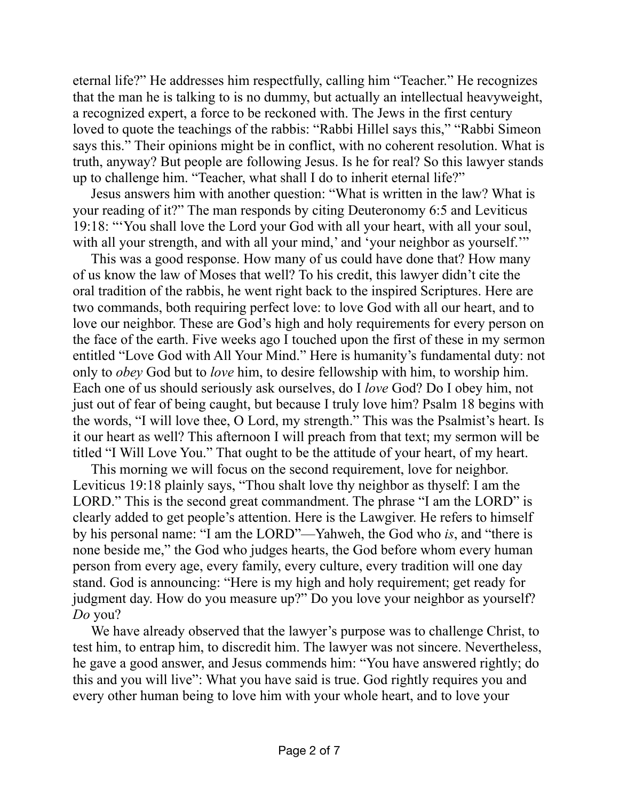eternal life?" He addresses him respectfully, calling him "Teacher." He recognizes that the man he is talking to is no dummy, but actually an intellectual heavyweight, a recognized expert, a force to be reckoned with. The Jews in the first century loved to quote the teachings of the rabbis: "Rabbi Hillel says this," "Rabbi Simeon says this." Their opinions might be in conflict, with no coherent resolution. What is truth, anyway? But people are following Jesus. Is he for real? So this lawyer stands up to challenge him. "Teacher, what shall I do to inherit eternal life?"

Jesus answers him with another question: "What is written in the law? What is your reading of it?" The man responds by citing Deuteronomy 6:5 and Leviticus 19:18: "'You shall love the Lord your God with all your heart, with all your soul, with all your strength, and with all your mind,' and 'your neighbor as yourself.'"

This was a good response. How many of us could have done that? How many of us know the law of Moses that well? To his credit, this lawyer didn't cite the oral tradition of the rabbis, he went right back to the inspired Scriptures. Here are two commands, both requiring perfect love: to love God with all our heart, and to love our neighbor. These are God's high and holy requirements for every person on the face of the earth. Five weeks ago I touched upon the first of these in my sermon entitled "Love God with All Your Mind." Here is humanity's fundamental duty: not only to *obey* God but to *love* him, to desire fellowship with him, to worship him. Each one of us should seriously ask ourselves, do I *love* God? Do I obey him, not just out of fear of being caught, but because I truly love him? Psalm 18 begins with the words, "I will love thee, O Lord, my strength." This was the Psalmist's heart. Is it our heart as well? This afternoon I will preach from that text; my sermon will be titled "I Will Love You." That ought to be the attitude of your heart, of my heart.

This morning we will focus on the second requirement, love for neighbor. Leviticus 19:18 plainly says, "Thou shalt love thy neighbor as thyself: I am the LORD." This is the second great commandment. The phrase "I am the LORD" is clearly added to get people's attention. Here is the Lawgiver. He refers to himself by his personal name: "I am the LORD"—Yahweh, the God who *is*, and "there is none beside me," the God who judges hearts, the God before whom every human person from every age, every family, every culture, every tradition will one day stand. God is announcing: "Here is my high and holy requirement; get ready for judgment day. How do you measure up?" Do you love your neighbor as yourself? *Do* you?

We have already observed that the lawyer's purpose was to challenge Christ, to test him, to entrap him, to discredit him. The lawyer was not sincere. Nevertheless, he gave a good answer, and Jesus commends him: "You have answered rightly; do this and you will live": What you have said is true. God rightly requires you and every other human being to love him with your whole heart, and to love your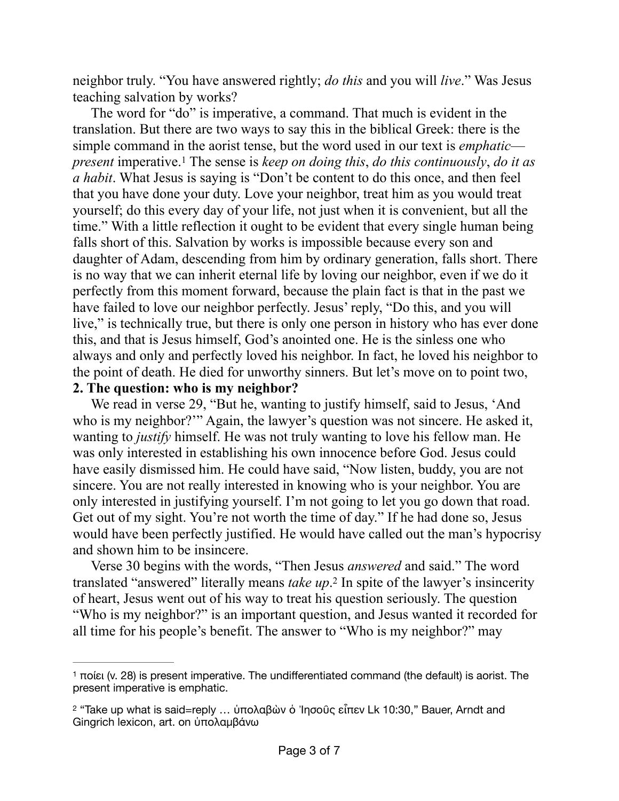neighbor truly. "You have answered rightly; *do this* and you will *live*." Was Jesus teaching salvation by works?

<span id="page-2-2"></span>The word for "do" is imperative, a command. That much is evident in the translation. But there are two ways to say this in the biblical Greek: there is the simple command in the aorist tense, but the word used in our text is *emphatic present* imperative.<sup>1</sup> The sense is *keep on doing this, do this continuously, do it as a habit*. What Jesus is saying is "Don't be content to do this once, and then feel that you have done your duty. Love your neighbor, treat him as you would treat yourself; do this every day of your life, not just when it is convenient, but all the time." With a little reflection it ought to be evident that every single human being falls short of this. Salvation by works is impossible because every son and daughter of Adam, descending from him by ordinary generation, falls short. There is no way that we can inherit eternal life by loving our neighbor, even if we do it perfectly from this moment forward, because the plain fact is that in the past we have failed to love our neighbor perfectly. Jesus' reply, "Do this, and you will live," is technically true, but there is only one person in history who has ever done this, and that is Jesus himself, God's anointed one. He is the sinless one who always and only and perfectly loved his neighbor. In fact, he loved his neighbor to the point of death. He died for unworthy sinners. But let's move on to point two, **2. The question: who is my neighbor?**

We read in verse 29, "But he, wanting to justify himself, said to Jesus, 'And who is my neighbor?"" Again, the lawyer's question was not sincere. He asked it, wanting to *justify* himself. He was not truly wanting to love his fellow man. He was only interested in establishing his own innocence before God. Jesus could have easily dismissed him. He could have said, "Now listen, buddy, you are not sincere. You are not really interested in knowing who is your neighbor. You are only interested in justifying yourself. I'm not going to let you go down that road. Get out of my sight. You're not worth the time of day." If he had done so, Jesus would have been perfectly justified. He would have called out the man's hypocrisy and shown him to be insincere.

<span id="page-2-3"></span>Verse 30 begins with the words, "Then Jesus *answered* and said." The word translated "answered" literally means *take up*.<sup>[2](#page-2-1)</sup> In spite of the lawyer's insincerity of heart, Jesus went out of his way to treat his question seriously. The question "Who is my neighbor?" is an important question, and Jesus wanted it recorded for all time for his people's benefit. The answer to "Who is my neighbor?" may

<span id="page-2-0"></span><sup>&</sup>lt;sup>[1](#page-2-2)</sup> ποίει (v. 28) is present imperative. The undifferentiated command (the default) is aorist. The present imperative is emphatic.

<span id="page-2-1"></span><sup>&</sup>lt;sup>[2](#page-2-3)</sup> "Take up what is said=reply ... ὑπολαβὼν ὁ Ἰησοῦς εἶπεν Lk 10:30," Bauer, Arndt and Gingrich lexicon, art. on ὑπολαμβάνω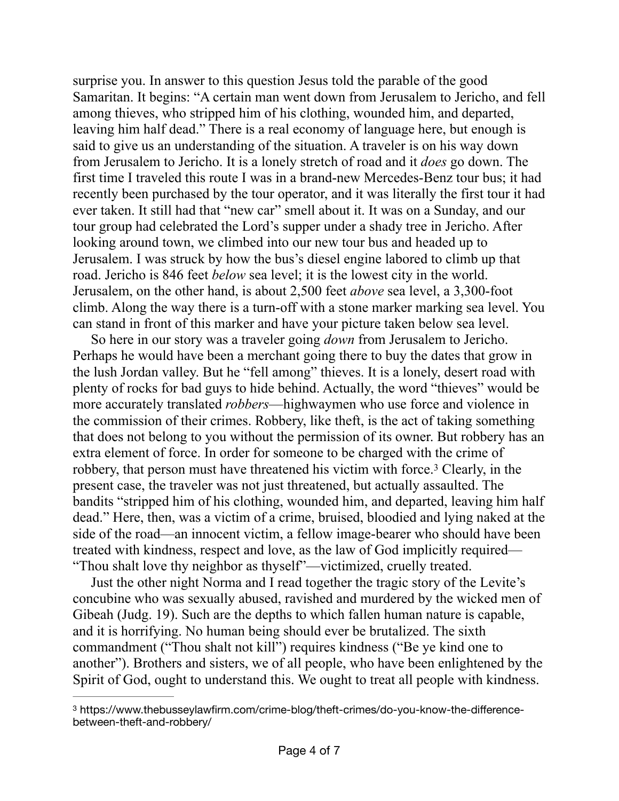surprise you. In answer to this question Jesus told the parable of the good Samaritan. It begins: "A certain man went down from Jerusalem to Jericho, and fell among thieves, who stripped him of his clothing, wounded him, and departed, leaving him half dead." There is a real economy of language here, but enough is said to give us an understanding of the situation. A traveler is on his way down from Jerusalem to Jericho. It is a lonely stretch of road and it *does* go down. The first time I traveled this route I was in a brand-new Mercedes-Benz tour bus; it had recently been purchased by the tour operator, and it was literally the first tour it had ever taken. It still had that "new car" smell about it. It was on a Sunday, and our tour group had celebrated the Lord's supper under a shady tree in Jericho. After looking around town, we climbed into our new tour bus and headed up to Jerusalem. I was struck by how the bus's diesel engine labored to climb up that road. Jericho is 846 feet *below* sea level; it is the lowest city in the world. Jerusalem, on the other hand, is about 2,500 feet *above* sea level, a 3,300-foot climb. Along the way there is a turn-off with a stone marker marking sea level. You can stand in front of this marker and have your picture taken below sea level.

So here in our story was a traveler going *down* from Jerusalem to Jericho. Perhaps he would have been a merchant going there to buy the dates that grow in the lush Jordan valley. But he "fell among" thieves. It is a lonely, desert road with plenty of rocks for bad guys to hide behind. Actually, the word "thieves" would be more accurately translated *robbers*—highwaymen who use force and violence in the commission of their crimes. Robbery, like theft, is the act of taking something that does not belong to you without the permission of its owner. But robbery has an extra element of force. In order for someone to be charged with the crime of robbery, that person must have threatened his victim with force.<sup>[3](#page-3-0)</sup> Clearly, in the present case, the traveler was not just threatened, but actually assaulted. The bandits "stripped him of his clothing, wounded him, and departed, leaving him half dead." Here, then, was a victim of a crime, bruised, bloodied and lying naked at the side of the road—an innocent victim, a fellow image-bearer who should have been treated with kindness, respect and love, as the law of God implicitly required— "Thou shalt love thy neighbor as thyself"—victimized, cruelly treated.

<span id="page-3-1"></span>Just the other night Norma and I read together the tragic story of the Levite's concubine who was sexually abused, ravished and murdered by the wicked men of Gibeah (Judg. 19). Such are the depths to which fallen human nature is capable, and it is horrifying. No human being should ever be brutalized. The sixth commandment ("Thou shalt not kill") requires kindness ("Be ye kind one to another"). Brothers and sisters, we of all people, who have been enlightened by the Spirit of God, ought to understand this. We ought to treat all people with kindness.

<span id="page-3-0"></span>https://www.thebusseylawfirm.com/crime-blog/theft-crimes/do-you-know-the-difference- [3](#page-3-1) between-theft-and-robbery/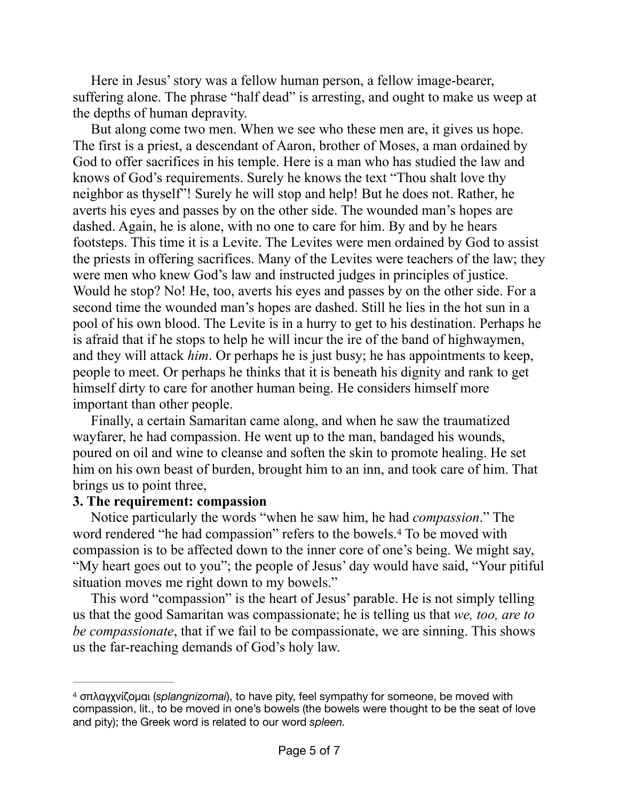Here in Jesus' story was a fellow human person, a fellow image-bearer, suffering alone. The phrase "half dead" is arresting, and ought to make us weep at the depths of human depravity.

But along come two men. When we see who these men are, it gives us hope. The first is a priest, a descendant of Aaron, brother of Moses, a man ordained by God to offer sacrifices in his temple. Here is a man who has studied the law and knows of God's requirements. Surely he knows the text "Thou shalt love thy neighbor as thyself"! Surely he will stop and help! But he does not. Rather, he averts his eyes and passes by on the other side. The wounded man's hopes are dashed. Again, he is alone, with no one to care for him. By and by he hears footsteps. This time it is a Levite. The Levites were men ordained by God to assist the priests in offering sacrifices. Many of the Levites were teachers of the law; they were men who knew God's law and instructed judges in principles of justice. Would he stop? No! He, too, averts his eyes and passes by on the other side. For a second time the wounded man's hopes are dashed. Still he lies in the hot sun in a pool of his own blood. The Levite is in a hurry to get to his destination. Perhaps he is afraid that if he stops to help he will incur the ire of the band of highwaymen, and they will attack *him*. Or perhaps he is just busy; he has appointments to keep, people to meet. Or perhaps he thinks that it is beneath his dignity and rank to get himself dirty to care for another human being. He considers himself more important than other people.

Finally, a certain Samaritan came along, and when he saw the traumatized wayfarer, he had compassion. He went up to the man, bandaged his wounds, poured on oil and wine to cleanse and soften the skin to promote healing. He set him on his own beast of burden, brought him to an inn, and took care of him. That brings us to point three,

## **3. The requirement: compassion**

<span id="page-4-1"></span>Notice particularly the words "when he saw him, he had *compassion*." The word rendered "he had compassion" refers to the bowels.<sup>[4](#page-4-0)</sup> To be moved with compassion is to be affected down to the inner core of one's being. We might say, "My heart goes out to you"; the people of Jesus' day would have said, "Your pitiful situation moves me right down to my bowels."

This word "compassion" is the heart of Jesus' parable. He is not simply telling us that the good Samaritan was compassionate; he is telling us that *we, too, are to be compassionate*, that if we fail to be compassionate, we are sinning. This shows us the far-reaching demands of God's holy law.

<span id="page-4-0"></span>σπλαγχνίζομαι (*splangnizomai*), to have pity, feel sympathy for someone, be moved with [4](#page-4-1) compassion, lit., to be moved in one's bowels (the bowels were thought to be the seat of love and pity); the Greek word is related to our word *spleen.*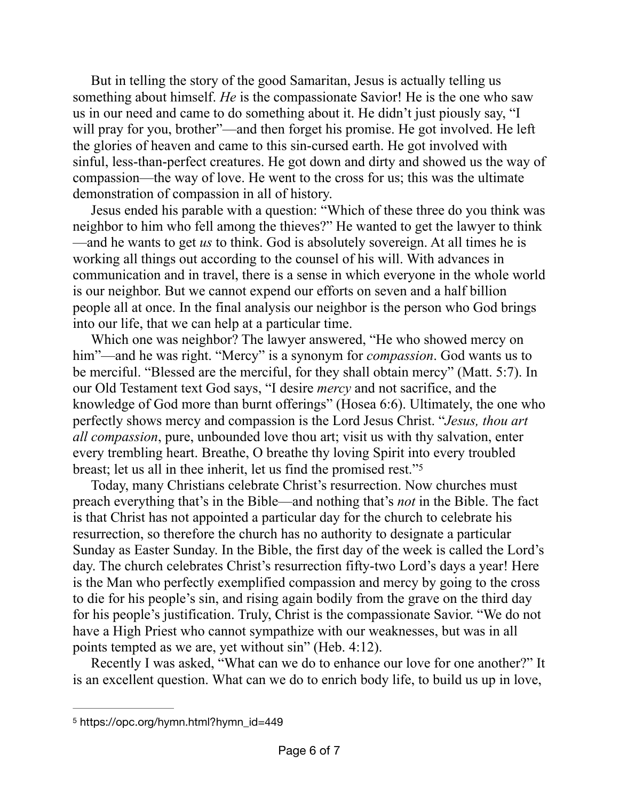But in telling the story of the good Samaritan, Jesus is actually telling us something about himself. *He* is the compassionate Savior! He is the one who saw us in our need and came to do something about it. He didn't just piously say, "I will pray for you, brother"—and then forget his promise. He got involved. He left the glories of heaven and came to this sin-cursed earth. He got involved with sinful, less-than-perfect creatures. He got down and dirty and showed us the way of compassion—the way of love. He went to the cross for us; this was the ultimate demonstration of compassion in all of history.

Jesus ended his parable with a question: "Which of these three do you think was neighbor to him who fell among the thieves?" He wanted to get the lawyer to think —and he wants to get *us* to think. God is absolutely sovereign. At all times he is working all things out according to the counsel of his will. With advances in communication and in travel, there is a sense in which everyone in the whole world is our neighbor. But we cannot expend our efforts on seven and a half billion people all at once. In the final analysis our neighbor is the person who God brings into our life, that we can help at a particular time.

Which one was neighbor? The lawyer answered, "He who showed mercy on him"—and he was right. "Mercy" is a synonym for *compassion*. God wants us to be merciful. "Blessed are the merciful, for they shall obtain mercy" (Matt. 5:7). In our Old Testament text God says, "I desire *mercy* and not sacrifice, and the knowledge of God more than burnt offerings" (Hosea 6:6). Ultimately, the one who perfectly shows mercy and compassion is the Lord Jesus Christ. "*Jesus, thou art all compassion*, pure, unbounded love thou art; visit us with thy salvation, enter every trembling heart. Breathe, O breathe thy loving Spirit into every troubled breast; let us all in thee inherit, let us find the promised rest.["5](#page-5-0)

<span id="page-5-1"></span>Today, many Christians celebrate Christ's resurrection. Now churches must preach everything that's in the Bible—and nothing that's *not* in the Bible. The fact is that Christ has not appointed a particular day for the church to celebrate his resurrection, so therefore the church has no authority to designate a particular Sunday as Easter Sunday. In the Bible, the first day of the week is called the Lord's day. The church celebrates Christ's resurrection fifty-two Lord's days a year! Here is the Man who perfectly exemplified compassion and mercy by going to the cross to die for his people's sin, and rising again bodily from the grave on the third day for his people's justification. Truly, Christ is the compassionate Savior. "We do not have a High Priest who cannot sympathize with our weaknesses, but was in all points tempted as we are, yet without sin" (Heb. 4:12).

Recently I was asked, "What can we do to enhance our love for one another?" It is an excellent question. What can we do to enrich body life, to build us up in love,

<span id="page-5-0"></span>[<sup>5</sup>](#page-5-1) https://opc.org/hymn.html?hymn\_id=449